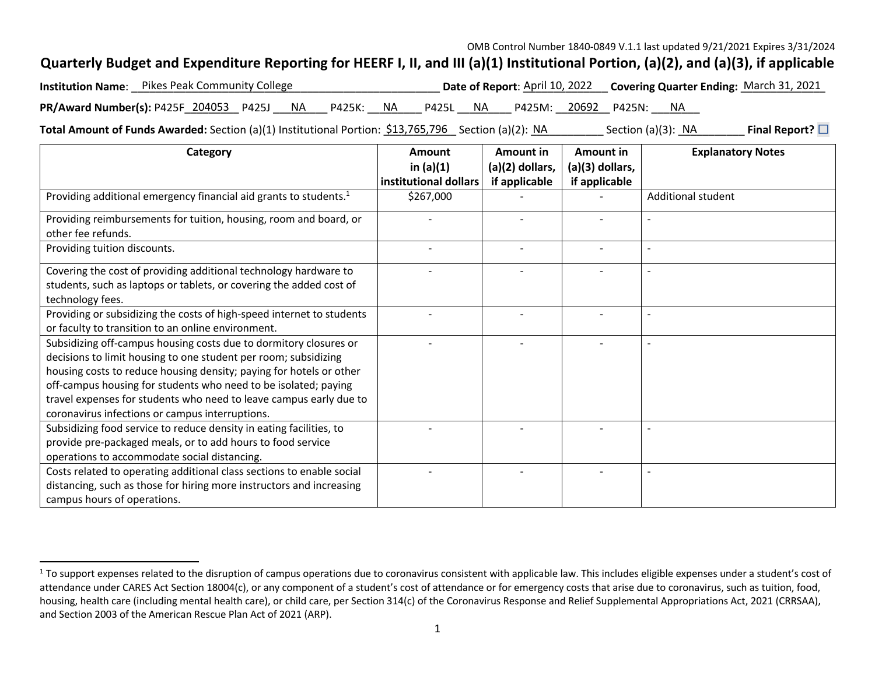## **Quarterly Budget and Expenditure Reporting for HEERF I, II, and III (a)(1) Institutional Portion, (a)(2), and (a)(3), if applicable**

|                                                                                     | <b>Institution Name:</b> Pikes Peak Community College |  |  |  |  |  |  |  |  | Date of Report: April 10, 2022 Covering Quarter Ending: March 31, 2021 |  |  |  |
|-------------------------------------------------------------------------------------|-------------------------------------------------------|--|--|--|--|--|--|--|--|------------------------------------------------------------------------|--|--|--|
| PR/Award Number(s): P425F 204053 P425J NA P425K: NA P425L NA P425M: 20692 P425N: NA |                                                       |  |  |  |  |  |  |  |  |                                                                        |  |  |  |

**Total Amount of Funds Awarded:** Section (a)(1) Institutional Portion: <u>\$13,765,796</u> Section (a)(2): NA \_\_\_\_\_\_\_\_ Section (a)(3): NA \_\_\_\_\_\_\_ **Final Report?** □

| Category                                                                      | Amount                | Amount in         | Amount in       | <b>Explanatory Notes</b> |
|-------------------------------------------------------------------------------|-----------------------|-------------------|-----------------|--------------------------|
|                                                                               | in $(a)(1)$           | $(a)(2)$ dollars, | (a)(3) dollars, |                          |
|                                                                               | institutional dollars | if applicable     | if applicable   |                          |
| Providing additional emergency financial aid grants to students. <sup>1</sup> | \$267,000             |                   |                 | Additional student       |
| Providing reimbursements for tuition, housing, room and board, or             |                       |                   |                 |                          |
| other fee refunds.                                                            |                       |                   |                 |                          |
| Providing tuition discounts.                                                  |                       |                   |                 |                          |
| Covering the cost of providing additional technology hardware to              |                       |                   |                 |                          |
| students, such as laptops or tablets, or covering the added cost of           |                       |                   |                 |                          |
| technology fees.                                                              |                       |                   |                 |                          |
| Providing or subsidizing the costs of high-speed internet to students         |                       |                   |                 |                          |
| or faculty to transition to an online environment.                            |                       |                   |                 |                          |
| Subsidizing off-campus housing costs due to dormitory closures or             |                       |                   |                 |                          |
| decisions to limit housing to one student per room; subsidizing               |                       |                   |                 |                          |
| housing costs to reduce housing density; paying for hotels or other           |                       |                   |                 |                          |
| off-campus housing for students who need to be isolated; paying               |                       |                   |                 |                          |
| travel expenses for students who need to leave campus early due to            |                       |                   |                 |                          |
| coronavirus infections or campus interruptions.                               |                       |                   |                 |                          |
| Subsidizing food service to reduce density in eating facilities, to           |                       |                   |                 |                          |
| provide pre-packaged meals, or to add hours to food service                   |                       |                   |                 |                          |
| operations to accommodate social distancing.                                  |                       |                   |                 |                          |
| Costs related to operating additional class sections to enable social         |                       |                   |                 |                          |
| distancing, such as those for hiring more instructors and increasing          |                       |                   |                 |                          |
| campus hours of operations.                                                   |                       |                   |                 |                          |

<sup>&</sup>lt;sup>1</sup> To support expenses related to the disruption of campus operations due to coronavirus consistent with applicable law. This includes eligible expenses under a student's cost of attendance under CARES Act Section 18004(c), or any component of a student's cost of attendance or for emergency costs that arise due to coronavirus, such as tuition, food, housing, health care (including mental health care), or child care, per Section 314(c) of the Coronavirus Response and Relief Supplemental Appropriations Act, 2021 (CRRSAA), and Section 2003 of the American Rescue Plan Act of 2021 (ARP).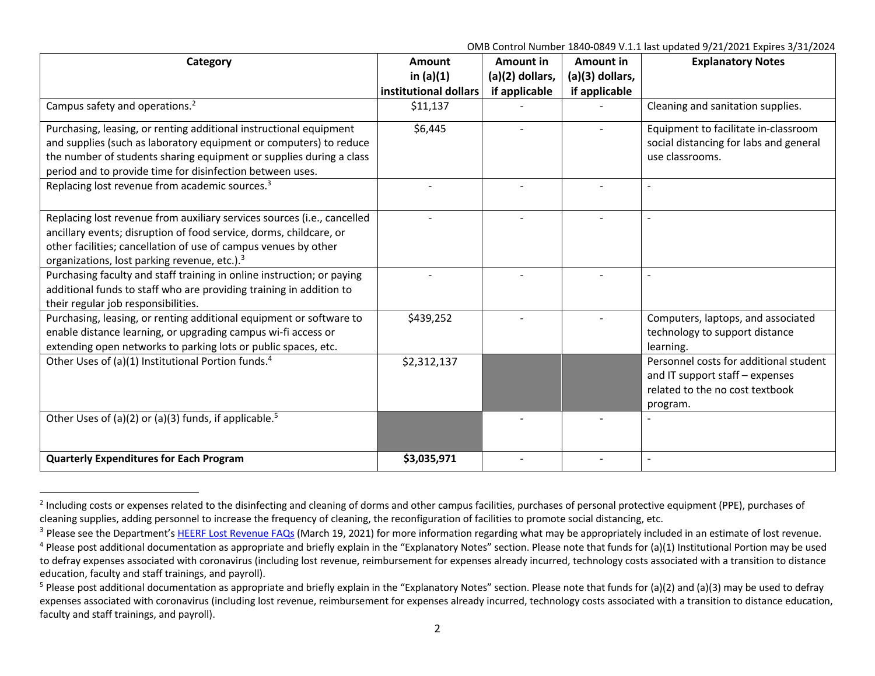| Category                                                                                                                                                                                                                                                                     | <b>Amount</b><br>in $(a)(1)$<br>institutional dollars | Amount in<br>(a)(2) dollars, | Amount in<br>(a)(3) dollars, | <b>Explanatory Notes</b>                                                                                                 |
|------------------------------------------------------------------------------------------------------------------------------------------------------------------------------------------------------------------------------------------------------------------------------|-------------------------------------------------------|------------------------------|------------------------------|--------------------------------------------------------------------------------------------------------------------------|
| Campus safety and operations. <sup>2</sup>                                                                                                                                                                                                                                   | \$11,137                                              | if applicable                | if applicable                | Cleaning and sanitation supplies.                                                                                        |
| Purchasing, leasing, or renting additional instructional equipment<br>and supplies (such as laboratory equipment or computers) to reduce<br>the number of students sharing equipment or supplies during a class<br>period and to provide time for disinfection between uses. | \$6,445                                               |                              |                              | Equipment to facilitate in-classroom<br>social distancing for labs and general<br>use classrooms.                        |
| Replacing lost revenue from academic sources. <sup>3</sup>                                                                                                                                                                                                                   |                                                       |                              |                              |                                                                                                                          |
| Replacing lost revenue from auxiliary services sources (i.e., cancelled<br>ancillary events; disruption of food service, dorms, childcare, or<br>other facilities; cancellation of use of campus venues by other<br>organizations, lost parking revenue, etc.). <sup>3</sup> |                                                       |                              |                              |                                                                                                                          |
| Purchasing faculty and staff training in online instruction; or paying<br>additional funds to staff who are providing training in addition to<br>their regular job responsibilities.                                                                                         |                                                       |                              |                              |                                                                                                                          |
| Purchasing, leasing, or renting additional equipment or software to<br>enable distance learning, or upgrading campus wi-fi access or<br>extending open networks to parking lots or public spaces, etc.                                                                       | \$439,252                                             |                              |                              | Computers, laptops, and associated<br>technology to support distance<br>learning.                                        |
| Other Uses of (a)(1) Institutional Portion funds. <sup>4</sup>                                                                                                                                                                                                               | \$2,312,137                                           |                              |                              | Personnel costs for additional student<br>and IT support staff - expenses<br>related to the no cost textbook<br>program. |
| Other Uses of (a)(2) or (a)(3) funds, if applicable. <sup>5</sup>                                                                                                                                                                                                            |                                                       |                              |                              |                                                                                                                          |
| <b>Quarterly Expenditures for Each Program</b>                                                                                                                                                                                                                               | \$3,035,971                                           |                              |                              |                                                                                                                          |

<sup>&</sup>lt;sup>2</sup> Including costs or expenses related to the disinfecting and cleaning of dorms and other campus facilities, purchases of personal protective equipment (PPE), purchases of cleaning supplies, adding personnel to increase the frequency of cleaning, the reconfiguration of facilities to promote social distancing, etc.

<sup>&</sup>lt;sup>3</sup> Please see the Department's HEERF Lost Revenue FAQs (March 19, 2021) for more information regarding what may be appropriately included in an estimate of lost revenue.

<sup>&</sup>lt;sup>4</sup> Please post additional documentation as appropriate and briefly explain in the "Explanatory Notes" section. Please note that funds for (a)(1) Institutional Portion may be used to defray expenses associated with coronavirus (including lost revenue, reimbursement for expenses already incurred, technology costs associated with a transition to distance education, faculty and staff trainings, and payroll).

<sup>&</sup>lt;sup>5</sup> Please post additional documentation as appropriate and briefly explain in the "Explanatory Notes" section. Please note that funds for (a)(2) and (a)(3) may be used to defray expenses associated with coronavirus (including lost revenue, reimbursement for expenses already incurred, technology costs associated with a transition to distance education, faculty and staff trainings, and payroll).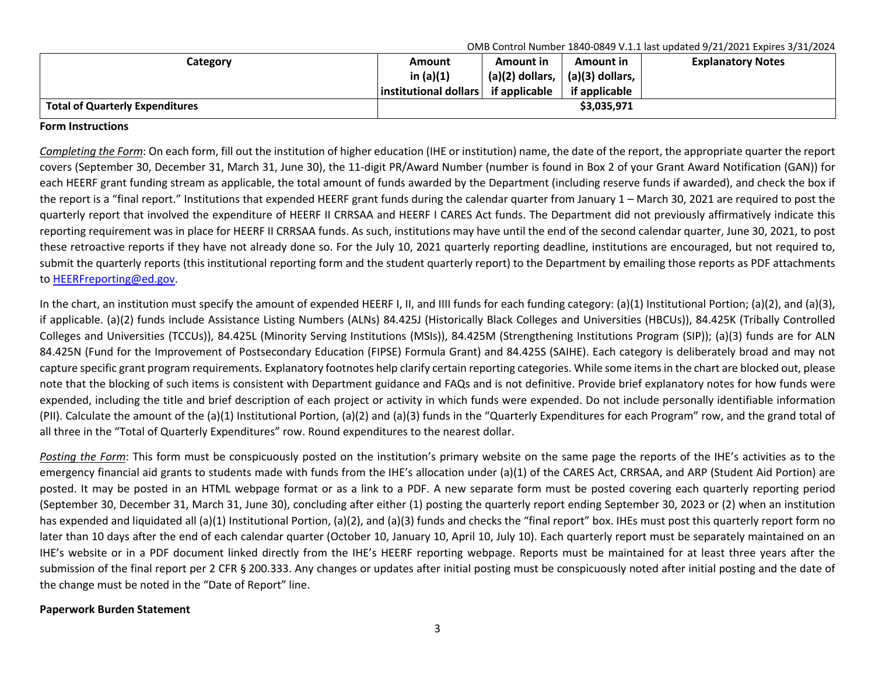| Category                               | Amount                | Amount in                     | Amount in              | <b>Explanatory Notes</b> |
|----------------------------------------|-----------------------|-------------------------------|------------------------|--------------------------|
|                                        | in $(a)(1)$           | $(a)(2)$ dollars, $\parallel$ | $\mid$ (a)(3) dollars, |                          |
|                                        | institutional dollars | if applicable                 | if applicable          |                          |
| <b>Total of Quarterly Expenditures</b> |                       |                               | \$3,035,971            |                          |

## **Form Instructions**

*Completing the Form*: On each form, fill out the institution of higher education (IHE or institution) name, the date of the report, the appropriate quarter the report covers (September 30, December 31, March 31, June 30), the 11-digit PR/Award Number (number is found in Box 2 of your Grant Award Notification (GAN)) for each HEERF grant funding stream as applicable, the total amount of funds awarded by the Department (including reserve funds if awarded), and check the box if the report is a "final report." Institutions that expended HEERF grant funds during the calendar quarter from January 1 – March 30, 2021 are required to post the quarterly report that involved the expenditure of HEERF II CRRSAA and HEERF I CARES Act funds. The Department did not previously affirmatively indicate this reporting requirement was in place for HEERF II CRRSAA funds. As such, institutions may have until the end of the second calendar quarter, June 30, 2021, to post these retroactive reports if they have not already done so. For the July 10, 2021 quarterly reporting deadline, institutions are encouraged, but not required to, submit the quarterly reports (this institutional reporting form and the student quarterly report) to the Department by emailing those reports as PDF attachments to HEERFreporting@ed.gov.

In the chart, an institution must specify the amount of expended HEERF I, II, and IIII funds for each funding category: (a)(1) Institutional Portion; (a)(2), and (a)(3), if applicable. (a)(2) funds include Assistance Listing Numbers (ALNs) 84.425J (Historically Black Colleges and Universities (HBCUs)), 84.425K (Tribally Controlled Colleges and Universities (TCCUs)), 84.425L (Minority Serving Institutions (MSIs)), 84.425M (Strengthening Institutions Program (SIP)); (a)(3) funds are for ALN 84.425N (Fund for the Improvement of Postsecondary Education (FIPSE) Formula Grant) and 84.425S (SAIHE). Each category is deliberately broad and may not capture specific grant program requirements. Explanatory footnotes help clarify certain reporting categories. While some items in the chart are blocked out, please note that the blocking of such items is consistent with Department guidance and FAQs and is not definitive. Provide brief explanatory notes for how funds were expended, including the title and brief description of each project or activity in which funds were expended. Do not include personally identifiable information (PII). Calculate the amount of the (a)(1) Institutional Portion, (a)(2) and (a)(3) funds in the "Quarterly Expenditures for each Program" row, and the grand total of all three in the "Total of Quarterly Expenditures" row. Round expenditures to the nearest dollar.

*Posting the Form*: This form must be conspicuously posted on the institution's primary website on the same page the reports of the IHE's activities as to the emergency financial aid grants to students made with funds from the IHE's allocation under (a)(1) of the CARES Act, CRRSAA, and ARP (Student Aid Portion) are posted. It may be posted in an HTML webpage format or as a link to a PDF. A new separate form must be posted covering each quarterly reporting period (September 30, December 31, March 31, June 30), concluding after either (1) posting the quarterly report ending September 30, 2023 or (2) when an institution has expended and liquidated all (a)(1) Institutional Portion, (a)(2), and (a)(3) funds and checks the "final report" box. IHEs must post this quarterly report form no later than 10 days after the end of each calendar quarter (October 10, January 10, April 10, July 10). Each quarterly report must be separately maintained on an IHE's website or in a PDF document linked directly from the IHE's HEERF reporting webpage. Reports must be maintained for at least three years after the submission of the final report per 2 CFR § 200.333. Any changes or updates after initial posting must be conspicuously noted after initial posting and the date of the change must be noted in the "Date of Report" line.

## **Paperwork Burden Statement**